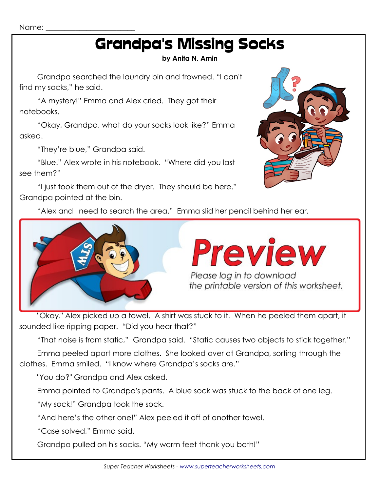Name:

## Grandpa's Missing Socks

## **by Anita N. Amin**

Grandpa searched the laundry bin and frowned. "I can't find my socks," he said.

"A mystery!" Emma and Alex cried. They got their notebooks.

"Okay, Grandpa, what do your socks look like?" Emma asked.

"They're blue," Grandpa said.

"Blue." Alex wrote in his notebook. "Where did you last see them?"

"I just took them out of the dryer. They should be here." Grandpa pointed at the bin.



"Alex and I need to search the area." Emma slid her pencil behind her ear.



"Okay." Alex picked up a towel. A shirt was stuck to it. When he peeled them apart, it sounded like ripping paper. "Did you hear that?"

"That noise is from static," Grandpa said. "Static causes two objects to stick together."

Emma peeled apart more clothes. She looked over at Grandpa, sorting through the clothes. Emma smiled. "I know where Grandpa's socks are."

"You do?" Grandpa and Alex asked.

Emma pointed to Grandpa's pants. A blue sock was stuck to the back of one leg.

"My sock!" Grandpa took the sock.

"And here's the other one!" Alex peeled it off of another towel.

"Case solved," Emma said.

Grandpa pulled on his socks. "My warm feet thank you both!"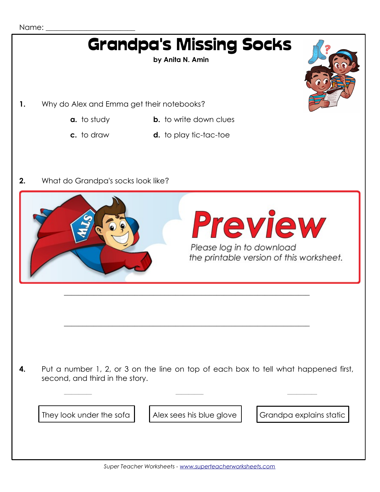## Name:

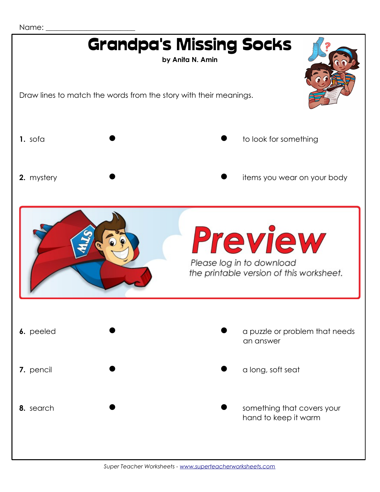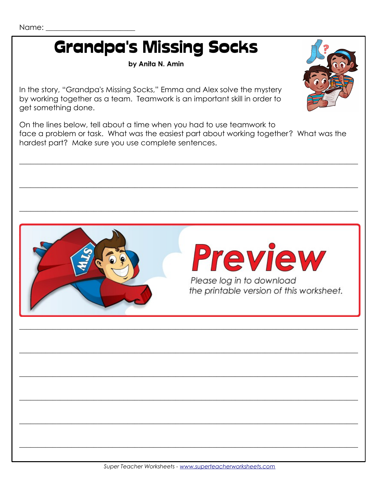## **Grandpa's Missing Socks**

by Anita N. Amin

In the story, "Grandpa's Missing Socks," Emma and Alex solve the mystery by working together as a team. Teamwork is an important skill in order to get something done.

On the lines below, tell about a time when you had to use teamwork to face a problem or task. What was the easiest part about working together? What was the hardest part? Make sure you use complete sentences.



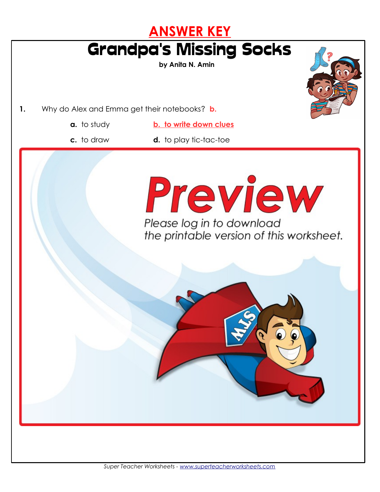